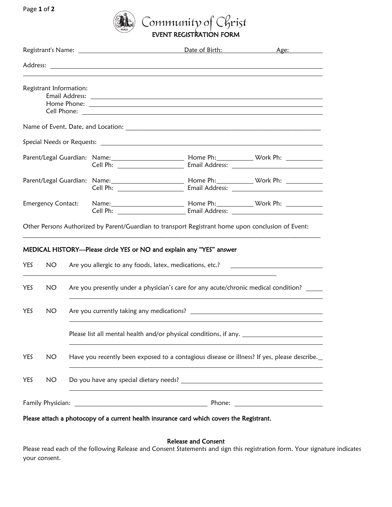Page **1** of **2**



|                           |                         |                                                                                             | Registrant's Name: The contract of the contract of the contract of the contract of the contract of the contract of the contract of the contract of the contract of the contract of the contract of the contract of the contrac | Date of Birth:                                                                                                                                           | Age: |
|---------------------------|-------------------------|---------------------------------------------------------------------------------------------|--------------------------------------------------------------------------------------------------------------------------------------------------------------------------------------------------------------------------------|----------------------------------------------------------------------------------------------------------------------------------------------------------|------|
|                           |                         |                                                                                             |                                                                                                                                                                                                                                |                                                                                                                                                          |      |
|                           | Registrant Information: |                                                                                             |                                                                                                                                                                                                                                |                                                                                                                                                          |      |
|                           |                         |                                                                                             |                                                                                                                                                                                                                                |                                                                                                                                                          |      |
|                           |                         |                                                                                             |                                                                                                                                                                                                                                |                                                                                                                                                          |      |
|                           |                         |                                                                                             |                                                                                                                                                                                                                                | Parent/Legal Guardian: Name: 1988 [10] Mome Ph: Nome Ph: 2007 [20] Work Ph: 2008                                                                         |      |
|                           |                         |                                                                                             |                                                                                                                                                                                                                                | Parent/Legal Guardian: Name: 1988 [19] Mome Ph: Nome Ph: 2008 [20] Work Ph: 2008 [20] Mork Ph: 2008 [20] Mork                                            |      |
| <b>Emergency Contact:</b> |                         |                                                                                             |                                                                                                                                                                                                                                |                                                                                                                                                          |      |
|                           |                         |                                                                                             |                                                                                                                                                                                                                                | Other Persons Authorized by Parent/Guardian to transport Registrant home upon conclusion of Event:                                                       |      |
|                           |                         |                                                                                             |                                                                                                                                                                                                                                |                                                                                                                                                          |      |
| <b>YES</b>                | NO.                     |                                                                                             |                                                                                                                                                                                                                                | MEDICAL HISTORY-Please circle YES or NO and explain any "YES" answer<br>Are you allergic to any foods, latex, medications, etc.? _______________________ |      |
| YES                       | <b>NO</b>               | Are you presently under a physician's care for any acute/chronic medical condition? _____   |                                                                                                                                                                                                                                |                                                                                                                                                          |      |
| <b>YES</b>                | NO.                     |                                                                                             |                                                                                                                                                                                                                                |                                                                                                                                                          |      |
|                           |                         | Please list all mental health and/or physical conditions, if any.                           |                                                                                                                                                                                                                                |                                                                                                                                                          |      |
| YES                       | NO                      | Have you recently been exposed to a contagious disease or illness? If yes, please describe. |                                                                                                                                                                                                                                |                                                                                                                                                          |      |
|                           |                         |                                                                                             |                                                                                                                                                                                                                                |                                                                                                                                                          |      |
| YES                       | NO                      |                                                                                             |                                                                                                                                                                                                                                |                                                                                                                                                          |      |

Please attach a photocopy of a current health insurance card which covers the Registrant.

Release and Consent

Please read each of the following Release and Consent Statements and sign this registration form. Your signature indicates your consent.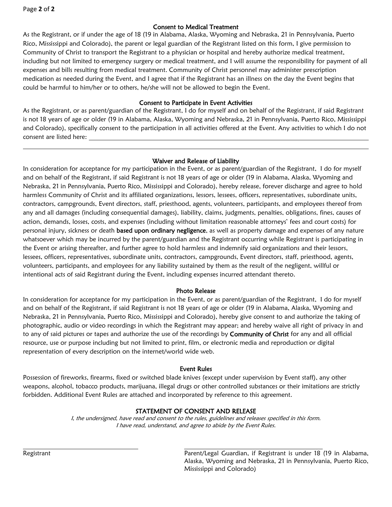Page **2** of **2**

## Consent to Medical Treatment

As the Registrant, or if under the age of 18 (19 in Alabama, Alaska, Wyoming and Nebraska, 21 in Pennsylvania, Puerto Rico, Mississippi and Colorado), the parent or legal guardian of the Registrant listed on this form, I give permission to Community of Christ to transport the Registrant to a physician or hospital and hereby authorize medical treatment, including but not limited to emergency surgery or medical treatment, and I will assume the responsibility for payment of all expenses and bills resulting from medical treatment. Community of Christ personnel may administer prescription medication as needed during the Event, and I agree that if the Registrant has an illness on the day the Event begins that could be harmful to him/her or to others, he/she will not be allowed to begin the Event.

## Consent to Participate in Event Activities

As the Registrant, or as parent/guardian of the Registrant, I do for myself and on behalf of the Registrant, if said Registrant is not 18 years of age or older (19 in Alabama, Alaska, Wyoming and Nebraska, 21 in Pennsylvania, Puerto Rico, Mississippi and Colorado), specifically consent to the participation in all activities offered at the Event. Any activities to which I do not consent are listed here:

## Waiver and Release of Liability

In consideration for acceptance for my participation in the Event, or as parent/guardian of the Registrant, I do for myself and on behalf of the Registrant, if said Registrant is not 18 years of age or older (19 in Alabama, Alaska, Wyoming and Nebraska, 21 in Pennsylvania, Puerto Rico, Mississippi and Colorado), hereby release, forever discharge and agree to hold harmless Community of Christ and its affiliated organizations, lessors, lessees, officers, representatives, subordinate units, contractors, campgrounds, Event directors, staff, priesthood, agents, volunteers, participants, and employees thereof from any and all damages (including consequential damages), liability, claims, judgments, penalties, obligations, fines, causes of action, demands, losses, costs, and expenses (including without limitation reasonable attorneys' fees and court costs) for personal injury, sickness or death **based upon ordinary negligence**, as well as property damage and expenses of any nature whatsoever which may be incurred by the parent/guardian and the Registrant occurring while Registrant is participating in the Event or arising thereafter, and further agree to hold harmless and indemnify said organizations and their lessors, lessees, officers, representatives, subordinate units, contractors, campgrounds, Event directors, staff, priesthood, agents, volunteers, participants, and employees for any liability sustained by them as the result of the negligent, willful or intentional acts of said Registrant during the Event, including expenses incurred attendant thereto.

#### Photo Release

In consideration for acceptance for my participation in the Event, or as parent/guardian of the Registrant, I do for myself and on behalf of the Registrant, if said Registrant is not 18 years of age or older (19 in Alabama, Alaska, Wyoming and Nebraska, 21 in Pennsylvania, Puerto Rico, Mississippi and Colorado), hereby give consent to and authorize the taking of photographic, audio or video recordings in which the Registrant may appear; and hereby waive all right of privacy in and to any of said pictures or tapes and authorize the use of the recordings by Community of Christ for any and all official resource, use or purpose including but not limited to print, film, or electronic media and reproduction or digital representation of every description on the internet/world wide web.

#### Event Rules

Possession of fireworks, firearms, fixed or switched blade knives (except under supervision by Event staff), any other weapons, alcohol, tobacco products, marijuana, illegal drugs or other controlled substances or their imitations are strictly forbidden. Additional Event Rules are attached and incorporated by reference to this agreement.

# STATEMENT OF CONSENT AND RELEASE

I, the undersigned, have read and consent to the rules, guidelines and releases specified in this form. I have read, understand, and agree to abide by the Event Rules.

Registrant Parent/Legal Guardian, if Registrant is under 18 (19 in Alabama, Alaska, Wyoming and Nebraska, 21 in Pennsylvania, Puerto Rico, Mississippi and Colorado)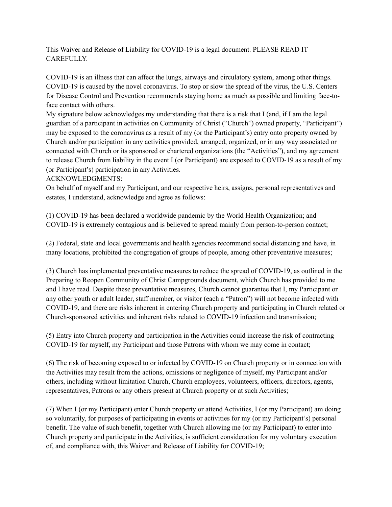This Waiver and Release of Liability for COVID-19 is a legal document. PLEASE READ IT CAREFULLY.

COVID-19 is an illness that can affect the lungs, airways and circulatory system, among other things. COVID-19 is caused by the novel coronavirus. To stop or slow the spread of the virus, the U.S. Centers for Disease Control and Prevention recommends staying home as much as possible and limiting face-toface contact with others.

My signature below acknowledges my understanding that there is a risk that I (and, if I am the legal guardian of a participant in activities on Community of Christ ("Church") owned property, "Participant") may be exposed to the coronavirus as a result of my (or the Participant's) entry onto property owned by Church and/or participation in any activities provided, arranged, organized, or in any way associated or connected with Church or its sponsored or chartered organizations (the "Activities"), and my agreement to release Church from liability in the event I (or Participant) are exposed to COVID-19 as a result of my (or Participant's) participation in any Activities.

ACKNOWLEDGMENTS:

On behalf of myself and my Participant, and our respective heirs, assigns, personal representatives and estates, I understand, acknowledge and agree as follows:

(1) COVID-19 has been declared a worldwide pandemic by the World Health Organization; and COVID-19 is extremely contagious and is believed to spread mainly from person-to-person contact;

(2) Federal, state and local governments and health agencies recommend social distancing and have, in many locations, prohibited the congregation of groups of people, among other preventative measures;

(3) Church has implemented preventative measures to reduce the spread of COVID-19, as outlined in the Preparing to Reopen Community of Christ Campgrounds document, which Church has provided to me and I have read. Despite these preventative measures, Church cannot guarantee that I, my Participant or any other youth or adult leader, staff member, or visitor (each a "Patron") will not become infected with COVID-19, and there are risks inherent in entering Church property and participating in Church related or Church-sponsored activities and inherent risks related to COVID-19 infection and transmission;

(5) Entry into Church property and participation in the Activities could increase the risk of contracting COVID-19 for myself, my Participant and those Patrons with whom we may come in contact;

(6) The risk of becoming exposed to or infected by COVID-19 on Church property or in connection with the Activities may result from the actions, omissions or negligence of myself, my Participant and/or others, including without limitation Church, Church employees, volunteers, officers, directors, agents, representatives, Patrons or any others present at Church property or at such Activities;

(7) When I (or my Participant) enter Church property or attend Activities, I (or my Participant) am doing so voluntarily, for purposes of participating in events or activities for my (or my Participant's) personal benefit. The value of such benefit, together with Church allowing me (or my Participant) to enter into Church property and participate in the Activities, is sufficient consideration for my voluntary execution of, and compliance with, this Waiver and Release of Liability for COVID-19;